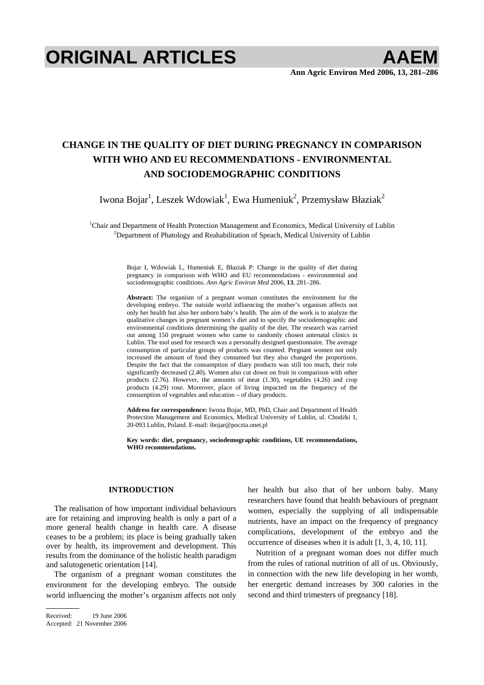# **ORIGINAL ARTICLES AAEM**

# **CHANGE IN THE QUALITY OF DIET DURING PREGNANCY IN COMPARISON WITH WHO AND EU RECOMMENDATIONS - ENVIRONMENTAL AND SOCIODEMOGRAPHIC CONDITIONS**

Iwona Bojar $^1$ , Leszek Wdowiak $^1$ , Ewa Humeniuk $^2$ , Przemysław Błaziak $^2$ 

<sup>1</sup>Chair and Department of Health Protection Management and Economics, Medical University of Lublin <sup>2</sup>Department of Bastelogy and Beshshilltation of Speech Medical University of Lublin  $2$ Department of Phatology and Reahabilitation of Speach, Medical University of Lublin

> Bojar I, Wdowiak L, Humeniuk E, Błaziak P: Change in the quality of diet during pregnancy in comparison with WHO and EU recommendations - environmental and sociodemographic conditions. *Ann Agric Environ Med* 2006, **13**, 281–286.

> **Abstract:** The organism of a pregnant woman constitutes the environment for the developing embryo. The outside world influencing the mother's organism affects not only her health but also her unborn baby's health. The aim of the work is to analyze the qualitative changes in pregnant women's diet and to specify the sociodemographic and environmental conditions determining the quality of the diet. The research was carried out among 150 pregnant women who came to randomly chosen antenatal clinics in Lublin. The tool used for research was a personally designed questionnaire. The average consumption of particular groups of products was counted. Pregnant women not only increased the amount of food they consumed but they also changed the proportions. Despite the fact that the consumption of diary products was still too much, their role significantly decreased (2.40). Women also cut down on fruit in comparison with other products (2.76). However, the amounts of meat (1.30), vegetables (4.26) and crop products (4.29) rose. Moreover, place of living impacted on the frequency of the consumption of vegetables and education – of diary products.

> **Address for correspondence:** Iwona Bojar, MD, PhD, Chair and Department of Health Protection Management and Economics, Medical University of Lublin, ul. Chodźki 1, 20-093 Lublin, Poland. E-mail: ibojar@poczta.onet.pl

> **Key words: diet, pregnancy, sociodemographic conditions, UE recommendations, WHO recommendations.**

# **INTRODUCTION**

The realisation of how important individual behaviours are for retaining and improving health is only a part of a more general health change in health care. A disease ceases to be a problem; its place is being gradually taken over by health, its improvement and development. This results from the dominance of the holistic health paradigm and salutogenetic orientation [14].

The organism of a pregnant woman constitutes the environment for the developing embryo. The outside world influencing the mother's organism affects not only her health but also that of her unborn baby. Many researchers have found that health behaviours of pregnant women, especially the supplying of all indispensable nutrients, have an impact on the frequency of pregnancy complications, development of the embryo and the occurrence of diseases when it is adult [1, 3, 4, 10, 11].

Nutrition of a pregnant woman does not differ much from the rules of rational nutrition of all of us. Obviously, in connection with the new life developing in her womb, her energetic demand increases by 300 calories in the second and third trimesters of pregnancy [18].

Received: 19 June 2006

Accepted: 21 November 2006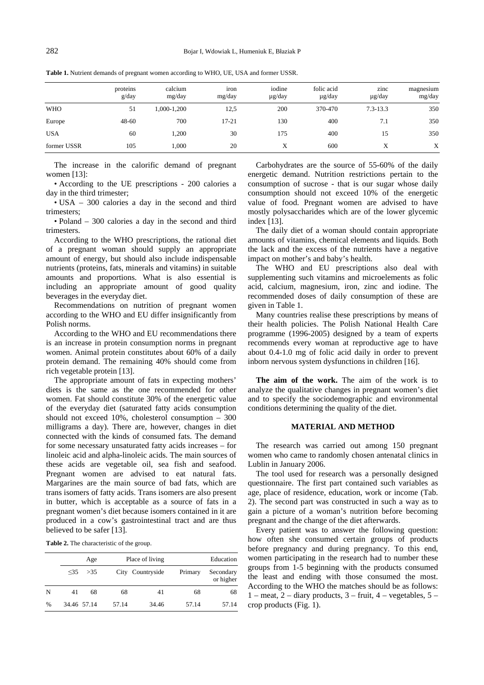|             | proteins<br>g/day | calcium<br>mg/day | iron<br>mg/day | iodine<br>$\mu$ g/day | folic acid<br>$\mu$ g/day | zinc<br>µg/day | magnesium<br>mg/day |
|-------------|-------------------|-------------------|----------------|-----------------------|---------------------------|----------------|---------------------|
| <b>WHO</b>  | 51                | 1,000-1,200       | 12,5           | 200                   | 370-470                   | $7.3 - 13.3$   | 350                 |
| Europe      | $48 - 60$         | 700               | $17 - 21$      | 130                   | 400                       | 7.1            | 350                 |
| <b>USA</b>  | 60                | 1,200             | 30             | 175                   | 400                       | 15             | 350                 |
| former USSR | 105               | 1.000             | 20             | Х                     | 600                       | Χ              | X                   |

**Table 1.** Nutrient demands of pregnant women according to WHO, UE, USA and former USSR.

The increase in the calorific demand of pregnant women [13]:

• According to the UE prescriptions - 200 calories a day in the third trimester;

• USA – 300 calories a day in the second and third trimesters;

• Poland – 300 calories a day in the second and third trimesters.

According to the WHO prescriptions, the rational diet of a pregnant woman should supply an appropriate amount of energy, but should also include indispensable nutrients (proteins, fats, minerals and vitamins) in suitable amounts and proportions. What is also essential is including an appropriate amount of good quality beverages in the everyday diet.

Recommendations on nutrition of pregnant women according to the WHO and EU differ insignificantly from Polish norms.

According to the WHO and EU recommendations there is an increase in protein consumption norms in pregnant women. Animal protein constitutes about 60% of a daily protein demand. The remaining 40% should come from rich vegetable protein [13].

The appropriate amount of fats in expecting mothers' diets is the same as the one recommended for other women. Fat should constitute 30% of the energetic value of the everyday diet (saturated fatty acids consumption should not exceed 10%, cholesterol consumption – 300 milligrams a day). There are, however, changes in diet connected with the kinds of consumed fats. The demand for some necessary unsaturated fatty acids increases – for linoleic acid and alpha-linoleic acids. The main sources of these acids are vegetable oil, sea fish and seafood. Pregnant women are advised to eat natural fats. Margarines are the main source of bad fats, which are trans isomers of fatty acids. Trans isomers are also present in butter, which is acceptable as a source of fats in a pregnant women's diet because isomers contained in it are produced in a cow's gastrointestinal tract and are thus believed to be safer [13].

**Table 2.** The characteristic of the group.

|      |    | Age         |       | Place of living  |         | Education              |
|------|----|-------------|-------|------------------|---------|------------------------|
|      |    | 35 > 35     |       | City Countryside | Primary | Secondary<br>or higher |
| N    | 41 | 68          | 68    | 41               | 68      | 68                     |
| $\%$ |    | 34.46 57.14 | 57.14 | 34.46            | 57.14   | 57.14                  |

Carbohydrates are the source of 55-60% of the daily energetic demand. Nutrition restrictions pertain to the consumption of sucrose - that is our sugar whose daily consumption should not exceed 10% of the energetic value of food. Pregnant women are advised to have mostly polysaccharides which are of the lower glycemic index [13].

The daily diet of a woman should contain appropriate amounts of vitamins, chemical elements and liquids. Both the lack and the excess of the nutrients have a negative impact on mother's and baby's health.

The WHO and EU prescriptions also deal with supplementing such vitamins and microelements as folic acid, calcium, magnesium, iron, zinc and iodine. The recommended doses of daily consumption of these are given in Table 1.

Many countries realise these prescriptions by means of their health policies. The Polish National Health Care programme (1996-2005) designed by a team of experts recommends every woman at reproductive age to have about 0.4-1.0 mg of folic acid daily in order to prevent inborn nervous system dysfunctions in children [16].

**The aim of the work.** The aim of the work is to analyze the qualitative changes in pregnant women's diet and to specify the sociodemographic and environmental conditions determining the quality of the diet.

### **MATERIAL AND METHOD**

The research was carried out among 150 pregnant women who came to randomly chosen antenatal clinics in Lublin in January 2006.

The tool used for research was a personally designed questionnaire. The first part contained such variables as age, place of residence, education, work or income (Tab. 2). The second part was constructed in such a way as to gain a picture of a woman's nutrition before becoming pregnant and the change of the diet afterwards.

Every patient was to answer the following question: how often she consumed certain groups of products before pregnancy and during pregnancy. To this end, women participating in the research had to number these groups from 1-5 beginning with the products consumed the least and ending with those consumed the most. According to the WHO the matches should be as follows:  $1 -$  meat,  $2 -$  diary products,  $3 -$  fruit,  $4 -$  vegetables,  $5$ crop products (Fig. 1).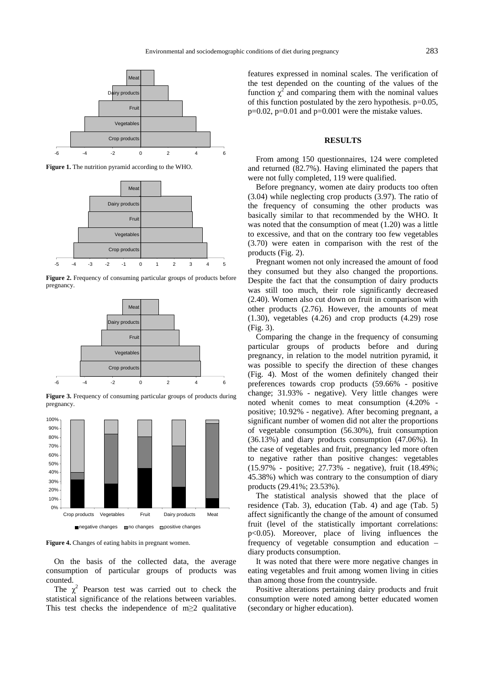

**Figure 1.** The nutrition pyramid according to the WHO.



**Figure 2.** Frequency of consuming particular groups of products before pregnancy.



**Figure 3.** Frequency of consuming particular groups of products during pregnancy.



**Figure 4.** Changes of eating habits in pregnant women.

On the basis of the collected data, the average consumption of particular groups of products was counted.

The  $\chi^2$  Pearson test was carried out to check the statistical significance of the relations between variables. This test checks the independence of m $\geq 2$  qualitative

features expressed in nominal scales. The verification of the test depended on the counting of the values of the function  $\chi^2$  and comparing them with the nominal values of this function postulated by the zero hypothesis. p=0.05,  $p=0.02$ ,  $p=0.01$  and  $p=0.001$  were the mistake values.

# **RESULTS**

From among 150 questionnaires, 124 were completed and returned (82.7%). Having eliminated the papers that were not fully completed, 119 were qualified.

Before pregnancy, women ate dairy products too often (3.04) while neglecting crop products (3.97). The ratio of the frequency of consuming the other products was basically similar to that recommended by the WHO. It was noted that the consumption of meat (1.20) was a little to excessive, and that on the contrary too few vegetables (3.70) were eaten in comparison with the rest of the products (Fig. 2).

Pregnant women not only increased the amount of food they consumed but they also changed the proportions. Despite the fact that the consumption of dairy products was still too much, their role significantly decreased (2.40). Women also cut down on fruit in comparison with other products (2.76). However, the amounts of meat (1.30), vegetables (4.26) and crop products (4.29) rose (Fig. 3).

Comparing the change in the frequency of consuming particular groups of products before and during pregnancy, in relation to the model nutrition pyramid, it was possible to specify the direction of these changes (Fig. 4). Most of the women definitely changed their preferences towards crop products (59.66% - positive change; 31.93% - negative). Very little changes were noted whenit comes to meat consumption (4.20% positive; 10.92% - negative). After becoming pregnant, a significant number of women did not alter the proportions of vegetable consumption (56.30%), fruit consumption (36.13%) and diary products consumption (47.06%). In the case of vegetables and fruit, pregnancy led more often to negative rather than positive changes: vegetables (15.97% - positive; 27.73% - negative), fruit (18.49%; 45.38%) which was contrary to the consumption of diary products (29.41%; 23.53%).

The statistical analysis showed that the place of residence (Tab. 3), education (Tab. 4) and age (Tab. 5) affect significantly the change of the amount of consumed fruit (level of the statistically important correlations: p<0.05). Moreover, place of living influences the frequency of vegetable consumption and education – diary products consumption.

It was noted that there were more negative changes in eating vegetables and fruit among women living in cities than among those from the countryside.

Positive alterations pertaining dairy products and fruit consumption were noted among better educated women (secondary or higher education).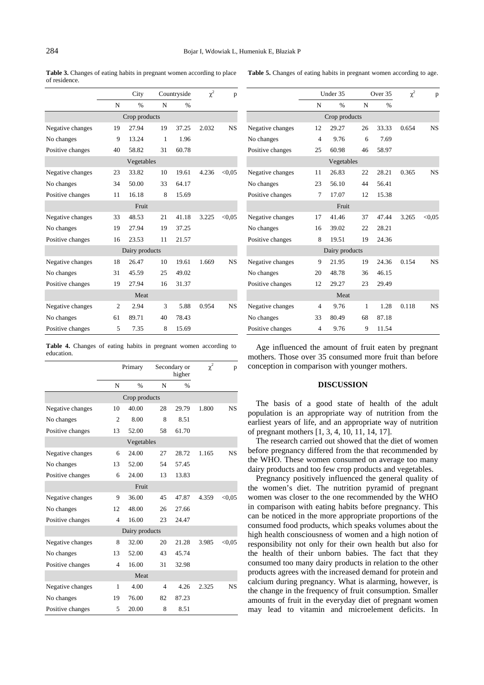**Table 3.** Changes of eating habits in pregnant women according to place of residence.

|  | Table 5. Changes of eating habits in pregnant women according to age. |
|--|-----------------------------------------------------------------------|
|--|-----------------------------------------------------------------------|

|                  |                | City       |              | Countryside   |       | p         |  |
|------------------|----------------|------------|--------------|---------------|-------|-----------|--|
|                  | N              | $\%$       | N            | $\frac{0}{6}$ |       |           |  |
| Crop products    |                |            |              |               |       |           |  |
| Negative changes | 19             | 27.94      | 19           | 37.25         | 2.032 | <b>NS</b> |  |
| No changes       | 9              | 13.24      | $\mathbf{1}$ | 1.96          |       |           |  |
| Positive changes | 40             | 58.82      | 31           | 60.78         |       |           |  |
|                  |                | Vegetables |              |               |       |           |  |
| Negative changes | 23             | 33.82      | 10           | 19.61         | 4.236 | < 0.05    |  |
| No changes       | 34             | 50.00      | 33           | 64.17         |       |           |  |
| Positive changes | 11             | 16.18      | 8            | 15.69         |       |           |  |
|                  |                | Fruit      |              |               |       |           |  |
| Negative changes | 33             | 48.53      | 21           | 41.18         | 3.225 | < 0.05    |  |
| No changes       | 19             | 27.94      | 19           | 37.25         |       |           |  |
| Positive changes | 16             | 23.53      | 11           | 21.57         |       |           |  |
| Dairy products   |                |            |              |               |       |           |  |
| Negative changes | 18             | 26.47      | 10           | 19.61         | 1.669 | <b>NS</b> |  |
| No changes       | 31             | 45.59      | 25           | 49.02         |       |           |  |
| Positive changes | 19             | 27.94      | 16           | 31.37         |       |           |  |
| Meat             |                |            |              |               |       |           |  |
| Negative changes | $\overline{c}$ | 2.94       | 3            | 5.88          | 0.954 | <b>NS</b> |  |
| No changes       | 61             | 89.71      | 40           | 78.43         |       |           |  |
| Positive changes | 5              | 7.35       | 8            | 15.69         |       |           |  |

**Table 4.** Changes of eating habits in pregnant women according to education.

|                  | Primary        |                |                | Secondary or<br>higher |       | p         |  |  |
|------------------|----------------|----------------|----------------|------------------------|-------|-----------|--|--|
|                  | N              | $\frac{0}{6}$  | N              | $\frac{0}{0}$          |       |           |  |  |
|                  |                | Crop products  |                |                        |       |           |  |  |
| Negative changes | 10             | 40.00          | 28             | 29.79                  | 1.800 | <b>NS</b> |  |  |
| No changes       | $\overline{c}$ | 8.00           | 8              | 8.51                   |       |           |  |  |
| Positive changes | 13             | 52.00          | 58             | 61.70                  |       |           |  |  |
|                  |                | Vegetables     |                |                        |       |           |  |  |
| Negative changes | 6              | 24.00          | 27             | 28.72                  | 1.165 | <b>NS</b> |  |  |
| No changes       | 13             | 52.00          | 54             | 57.45                  |       |           |  |  |
| Positive changes | 6              | 24.00          | 13             | 13.83                  |       |           |  |  |
|                  |                | Fruit          |                |                        |       |           |  |  |
| Negative changes | 9              | 36.00          | 45             | 47.87                  | 4.359 | < 0.05    |  |  |
| No changes       | 12             | 48.00          | 26             | 27.66                  |       |           |  |  |
| Positive changes | 4              | 16.00          | 23             | 24.47                  |       |           |  |  |
|                  |                | Dairy products |                |                        |       |           |  |  |
| Negative changes | 8              | 32.00          | 20             | 21.28                  | 3.985 | < 0.05    |  |  |
| No changes       | 13             | 52.00          | 43             | 45.74                  |       |           |  |  |
| Positive changes | $\overline{4}$ | 16.00          | 31             | 32.98                  |       |           |  |  |
| Meat             |                |                |                |                        |       |           |  |  |
| Negative changes | $\mathbf{1}$   | 4.00           | $\overline{4}$ | 4.26                   | 2.325 | <b>NS</b> |  |  |
| No changes       | 19             | 76.00          | 82             | 87.23                  |       |           |  |  |
| Positive changes | 5              | 20.00          | 8              | 8.51                   |       |           |  |  |

|                  |                | Under 35<br>Over 35 |    | $\chi^2$      | p     |           |  |
|------------------|----------------|---------------------|----|---------------|-------|-----------|--|
|                  | N              | $\frac{0}{0}$       | N  | $\frac{0}{6}$ |       |           |  |
| Crop products    |                |                     |    |               |       |           |  |
| Negative changes | 12             | 29.27               | 26 | 33.33         | 0.654 | <b>NS</b> |  |
| No changes       | 4              | 9.76                | 6  | 7.69          |       |           |  |
| Positive changes | 25             | 60.98               | 46 | 58.97         |       |           |  |
|                  |                | Vegetables          |    |               |       |           |  |
| Negative changes | 11             | 26.83               | 22 | 28.21         | 0.365 | <b>NS</b> |  |
| No changes       | 23             | 56.10               | 44 | 56.41         |       |           |  |
| Positive changes | 7              | 17.07               | 12 | 15.38         |       |           |  |
|                  |                | Fruit               |    |               |       |           |  |
| Negative changes | 17             | 41.46               | 37 | 47.44         | 3.265 | < 0.05    |  |
| No changes       | 16             | 39.02               | 22 | 28.21         |       |           |  |
| Positive changes | 8              | 19.51               | 19 | 24.36         |       |           |  |
| Dairy products   |                |                     |    |               |       |           |  |
| Negative changes | 9              | 21.95               | 19 | 24.36         | 0.154 | <b>NS</b> |  |
| No changes       | 20             | 48.78               | 36 | 46.15         |       |           |  |
| Positive changes | 12             | 29.27               | 23 | 29.49         |       |           |  |
| Meat             |                |                     |    |               |       |           |  |
| Negative changes | 4              | 9.76                | 1  | 1.28          | 0.118 | <b>NS</b> |  |
| No changes       | 33             | 80.49               | 68 | 87.18         |       |           |  |
| Positive changes | $\overline{4}$ | 9.76                | 9  | 11.54         |       |           |  |

Age influenced the amount of fruit eaten by pregnant mothers. Those over 35 consumed more fruit than before conception in comparison with younger mothers.

### **DISCUSSION**

The basis of a good state of health of the adult population is an appropriate way of nutrition from the earliest years of life, and an appropriate way of nutrition of pregnant mothers [1, 3, 4, 10, 11, 14, 17].

The research carried out showed that the diet of women before pregnancy differed from the that recommended by the WHO. These women consumed on average too many dairy products and too few crop products and vegetables.

Pregnancy positively influenced the general quality of the women's diet. The nutrition pyramid of pregnant women was closer to the one recommended by the WHO in comparison with eating habits before pregnancy. This can be noticed in the more appropriate proportions of the consumed food products, which speaks volumes about the high health consciousness of women and a high notion of responsibility not only for their own health but also for the health of their unborn babies. The fact that they consumed too many dairy products in relation to the other products agrees with the increased demand for protein and calcium during pregnancy. What is alarming, however, is the change in the frequency of fruit consumption. Smaller amounts of fruit in the everyday diet of pregnant women may lead to vitamin and microelement deficits. In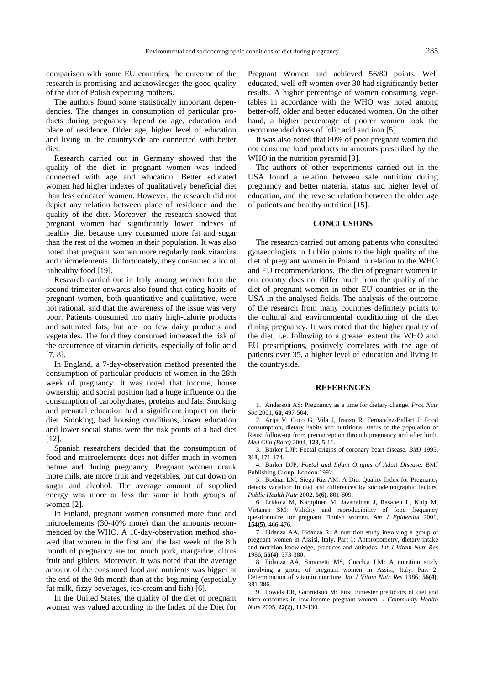comparison with some EU countries, the outcome of the research is promising and acknowledges the good quality of the diet of Polish expecting mothers.

The authors found some statistically important dependencies. The changes in consumption of particular products during pregnancy depend on age, education and place of residence. Older age, higher level of education and living in the countryside are connected with better diet.

Research carried out in Germany showed that the quality of the diet in pregnant women was indeed connected with age and education. Better educated women had higher indexes of qualitatively beneficial diet than less educated women. However, the research did not depict any relation between place of residence and the quality of the diet. Moreover, the research showed that pregnant women had significantly lower indexes of healthy diet because they consumed more fat and sugar than the rest of the women in their population. It was also noted that pregnant women more regularly took vitamins and microelements. Unfortunately, they consumed a lot of unhealthy food [19].

Research carried out in Italy among women from the second trimester onwards also found that eating habits of pregnant women, both quantitative and qualitative, were not rational, and that the awareness of the issue was very poor. Patients consumed too many high-calorie products and saturated fats, but ate too few dairy products and vegetables. The food they consumed increased the risk of the occurrence of vitamin deficits, especially of folic acid [7, 8].

In England, a 7-day-observation method presented the consumption of particular products of women in the 28th week of pregnancy. It was noted that income, house ownership and social position had a huge influence on the consumption of carbohydrates, proteins and fats. Smoking and prenatal education had a significant impact on their diet. Smoking, bad housing conditions, lower education and lower social status were the risk points of a bad diet [12].

Spanish researchers decided that the consumption of food and microelements does not differ much in women before and during pregnancy. Pregnant women drank more milk, ate more fruit and vegetables, but cut down on sugar and alcohol. The average amount of supplied energy was more or less the same in both groups of women [2].

In Finland, pregnant women consumed more food and microelements (30-40% more) than the amounts recommended by the WHO. A 10-day-observation method showed that women in the first and the last week of the 8th month of pregnancy ate too much pork, margarine, citrus fruit and giblets. Moreover, it was noted that the average amount of the consumed food and nutrients was bigger at the end of the 8th month than at the beginning (especially fat milk, fizzy beverages, ice-cream and fish) [6].

In the United States, the quality of the diet of pregnant women was valued according to the Index of the Diet for Pregnant Women and achieved 56/80 points. Well educated, well-off women over 30 had significantly better results. A higher percentage of women consuming vegetables in accordance with the WHO was noted among better-off, older and better educated women. On the other hand, a higher percentage of poorer women took the recommended doses of folic acid and iron [5].

It was also noted that 80% of poor pregnant women did not consume food products in amounts prescribed by the WHO in the nutrition pyramid [9].

The authors of other experiments carried out in the USA found a relation between safe nutrition during pregnancy and better material status and higher level of education, and the reverse relation between the older age of patients and healthy nutrition [15].

## **CONCLUSIONS**

The research carried out among patients who consulted gynaecologists in Lublin points to the high quality of the diet of pregnant women in Poland in relation to the WHO and EU recommendations. The diet of pregnant women in our country does not differ much from the quality of the diet of pregnant women in other EU countries or in the USA in the analysed fields. The analysis of the outcome of the research from many countries definitely points to the cultural and environmental conditioning of the diet during pregnancy. It was noted that the higher quality of the diet, i.e. following to a greater extent the WHO and EU prescriptions, positively correlates with the age of patients over 35, a higher level of education and living in the countryside.

#### **REFERENCES**

1. Anderson AS: Pregnancy as a time for dietary change. *Proc Nutr Soc* 2001, **60**, 497-504.

2. Arija V, Cuco G, Vila J, Iranzo R, Fernandez-Ballart J: Food consumption, dietary habits and nutritional status of the population of Reus: follow-up from preconception through pregnancy and after birth. *Med Clin (Barc)* 2004, **123**, 5-11.

3. Barker DJP: Foetal origins of coronary heart disease. *BMJ* 1995, **311**, 171-174.

4. Barker DJP: *Foetal and Infant Origins of Adult Disease*. BMJ Publishing Group, London 1992.

5. Bodnar LM, Siega-Riz AM: A Diet Quality Index for Pregnancy detects variation In diet and differences by sociodemographic factors. *Public Health Nutr* 2002, **5(6)**, 801-809.

6. Erkkola M, Karppinen M, Javanainen J, Rasaneu L, Knip M, Virtanen SM: Validity and reproducibility of food frequency questionnaire for pregnant Finnish women. *Am J Epidemiol* 2001, **154(5)**, 466-476.

7. Fidanza AA, Fidanza R: A nutrition study involving a group of pregnant women in Assisi, Italy. Part 1: Anthropometry, dietary intake and nutrition knowledge, practices and attitudes. *Int J Vitam Nutr Res* 1986, **56(4)**, 373-380.

8. Fidanza AA, Simonetti MS, Cucchia LM: A nutrition study involving a group of pregnant women in Assisi, Italy. Part 2: Determination of vitamin nutriture. *Int J Vitam Nutr Res* 1986, **56(4)**, 381-386.

9. Fowels ER, Gabrielson M: First trimester predictors of diet and birth outcomes in low-income pregnant women. *J Community Health Nurs* 2005, **22(2)**, 117-130.